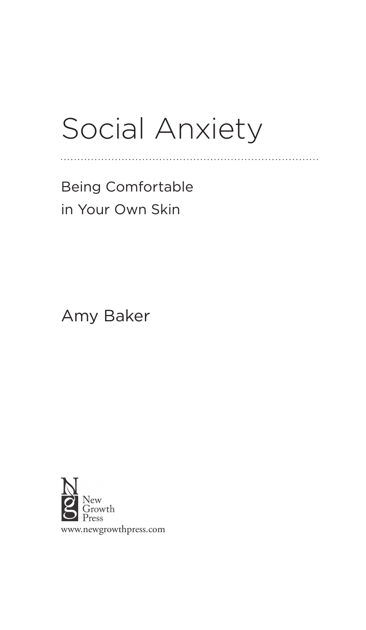# Social Anxiety

. . . . . . . . . . . . . . .

Being Comfortable in Your Own Skin

Amy Baker

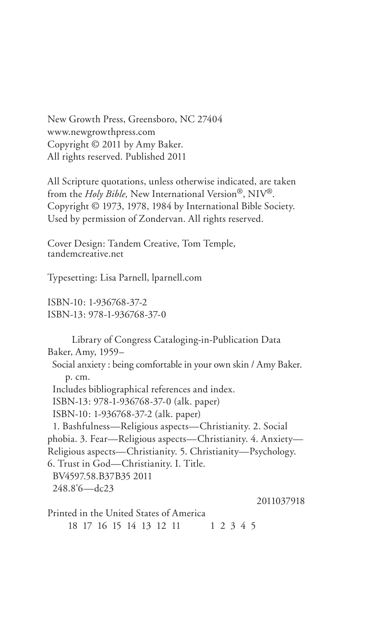New Growth Press, Greensboro, NC 27404 www.newgrowthpress.com Copyright © 2011 by Amy Baker. All rights reserved. Published 2011

All Scripture quotations, unless otherwise indicated, are taken from the *Holy Bible,* New International Version®, NIV®. Copyright © 1973, 1978, 1984 by International Bible Society. Used by permission of Zondervan. All rights reserved.

Cover Design: Tandem Creative, Tom Temple, tandemcreative.net

Typesetting: Lisa Parnell, lparnell.com

ISBN-10: 1-936768-37-2 ISBN-13: 978-1-936768-37-0

Library of Congress Cataloging-in-Publication Data Baker, Amy, 1959– Social anxiety : being comfortable in your own skin / Amy Baker. p. cm. Includes bibliographical references and index. ISBN-13: 978-1-936768-37-0 (alk. paper) ISBN-10: 1-936768-37-2 (alk. paper) 1. Bashfulness—Religious aspects—Christianity. 2. Social phobia. 3. Fear—Religious aspects—Christianity. 4. Anxiety— Religious aspects—Christianity. 5. Christianity—Psychology. 6. Trust in God—Christianity. I. Title. BV4597.58.B37B35 2011 248.8'6—dc23 2011037918 Printed in the United States of America 18 17 16 15 14 13 12 11 1 2 3 4 5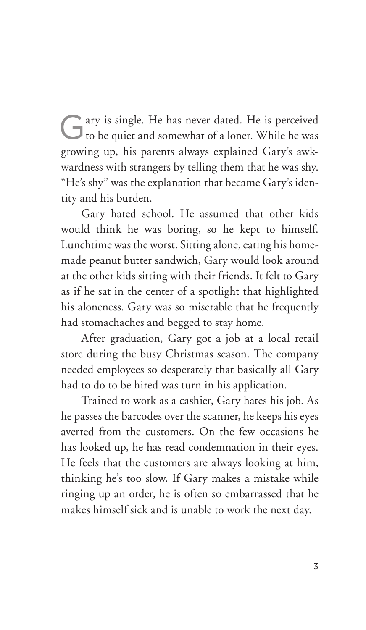Gary is single. He has never dated. He is perceived to be quiet and somewhat of a loner. While he was growing up, his parents always explained Gary's awkwardness with strangers by telling them that he was shy. "He's shy" was the explanation that became Gary's identity and his burden.

Gary hated school. He assumed that other kids would think he was boring, so he kept to himself. Lunchtime was the worst. Sitting alone, eating his homemade peanut butter sandwich, Gary would look around at the other kids sitting with their friends. It felt to Gary as if he sat in the center of a spotlight that highlighted his aloneness. Gary was so miserable that he frequently had stomachaches and begged to stay home.

After graduation, Gary got a job at a local retail store during the busy Christmas season. The company needed employees so desperately that basically all Gary had to do to be hired was turn in his application.

Trained to work as a cashier, Gary hates his job. As he passes the barcodes over the scanner, he keeps his eyes averted from the customers. On the few occasions he has looked up, he has read condemnation in their eyes. He feels that the customers are always looking at him, thinking he's too slow. If Gary makes a mistake while ringing up an order, he is often so embarrassed that he makes himself sick and is unable to work the next day.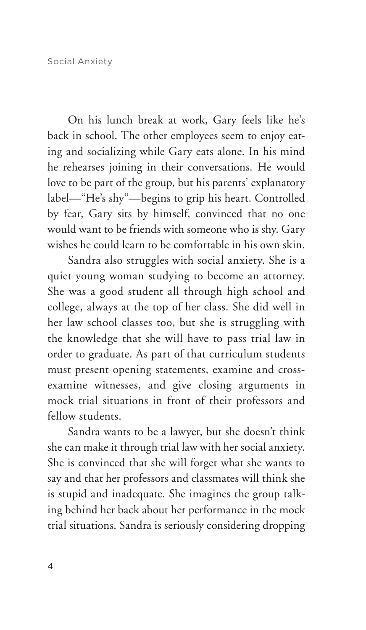On his lunch break at work, Gary feels like he's back in school. The other employees seem to enjoy eating and socializing while Gary eats alone. In his mind he rehearses joining in their conversations. He would love to be part of the group, but his parents' explanatory label—"He's shy"—begins to grip his heart. Controlled by fear, Gary sits by himself, convinced that no one would want to be friends with someone who is shy. Gary wishes he could learn to be comfortable in his own skin.

Sandra also struggles with social anxiety. She is a quiet young woman studying to become an attorney. She was a good student all through high school and college, always at the top of her class. She did well in her law school classes too, but she is struggling with the knowledge that she will have to pass trial law in order to graduate. As part of that curriculum students must present opening statements, examine and crossexamine witnesses, and give closing arguments in mock trial situations in front of their professors and fellow students.

Sandra wants to be a lawyer, but she doesn't think she can make it through trial law with her social anxiety. She is convinced that she will forget what she wants to say and that her professors and classmates will think she is stupid and inadequate. She imagines the group talking behind her back about her performance in the mock trial situations. Sandra is seriously considering dropping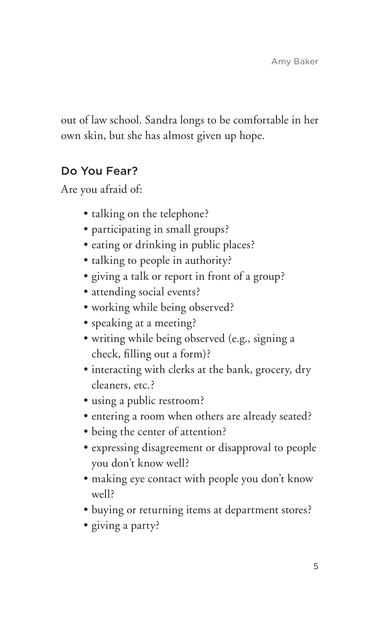out of law school. Sandra longs to be comfortable in her own skin, but she has almost given up hope.

# Do You Fear?

Are you afraid of:

- talking on the telephone?
- participating in small groups?
- eating or drinking in public places?
- talking to people in authority?
- giving a talk or report in front of a group?
- · attending social events?
- working while being observed?
- speaking at a meeting?
- s writing while being observed (e.g., signing a check, filling out a form)?
- interacting with clerks at the bank, grocery, dry cleaners, etc.?
- using a public restroom?
- entering a room when others are already seated?
- being the center of attention?
- expressing disagreement or disapproval to people you don't know well?
- making eye contact with people you don't know well?
- buying or returning items at department stores?
- giving a party?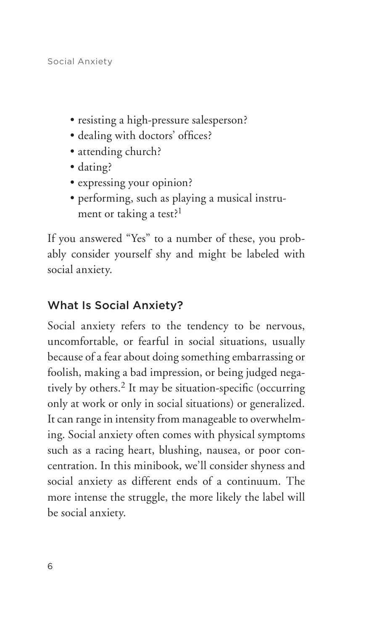- resisting a high-pressure salesperson?
- dealing with doctors' offices?
- attending church?
- dating?
- expressing your opinion?
- s performing, such as playing a musical instrument or taking a test?<sup>1</sup>

If you answered "Yes" to a number of these, you probably consider yourself shy and might be labeled with social anxiety.

# What Is Social Anxiety?

Social anxiety refers to the tendency to be nervous, uncomfortable, or fearful in social situations, usually because of a fear about doing something embarrassing or foolish, making a bad impression, or being judged negatively by others.2 It may be situation-specific (occurring only at work or only in social situations) or generalized. It can range in intensity from manageable to overwhelming. Social anxiety often comes with physical symptoms such as a racing heart, blushing, nausea, or poor concentration. In this minibook, we'll consider shyness and social anxiety as different ends of a continuum. The more intense the struggle, the more likely the label will be social anxiety.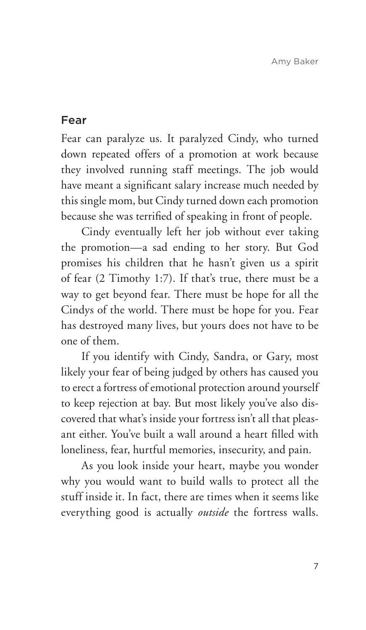#### Fear

Fear can paralyze us. It paralyzed Cindy, who turned down repeated offers of a promotion at work because they involved running staff meetings. The job would have meant a significant salary increase much needed by this single mom, but Cindy turned down each promotion because she was terrified of speaking in front of people.

Cindy eventually left her job without ever taking the promotion—a sad ending to her story. But God promises his children that he hasn't given us a spirit of fear (2 Timothy 1:7). If that's true, there must be a way to get beyond fear. There must be hope for all the Cindys of the world. There must be hope for you. Fear has destroyed many lives, but yours does not have to be one of them.

If you identify with Cindy, Sandra, or Gary, most likely your fear of being judged by others has caused you to erect a fortress of emotional protection around yourself to keep rejection at bay. But most likely you've also discovered that what's inside your fortress isn't all that pleasant either. You've built a wall around a heart filled with loneliness, fear, hurtful memories, insecurity, and pain.

As you look inside your heart, maybe you wonder why you would want to build walls to protect all the stuff inside it. In fact, there are times when it seems like everything good is actually *outside* the fortress walls.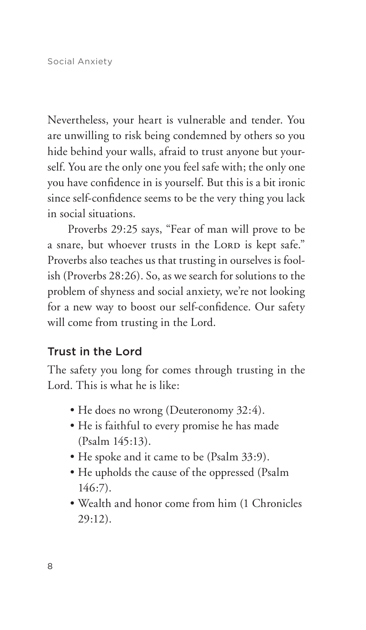Nevertheless, your heart is vulnerable and tender. You are unwilling to risk being condemned by others so you hide behind your walls, afraid to trust anyone but yourself. You are the only one you feel safe with; the only one you have confidence in is yourself. But this is a bit ironic since self-confidence seems to be the very thing you lack in social situations.

Proverbs 29:25 says, "Fear of man will prove to be a snare, but whoever trusts in the LORD is kept safe." Proverbs also teaches us that trusting in ourselves is foolish (Proverbs 28:26). So, as we search for solutions to the problem of shyness and social anxiety, we're not looking for a new way to boost our self-confidence. Our safety will come from trusting in the Lord.

### Trust in the Lord

The safety you long for comes through trusting in the Lord. This is what he is like:

- He does no wrong (Deuteronomy 32:4).
- He is faithful to every promise he has made (Psalm 145:13).
- He spoke and it came to be (Psalm 33:9).
- He upholds the cause of the oppressed (Psalm 146:7).
- Wealth and honor come from him (1 Chronicles 29:12).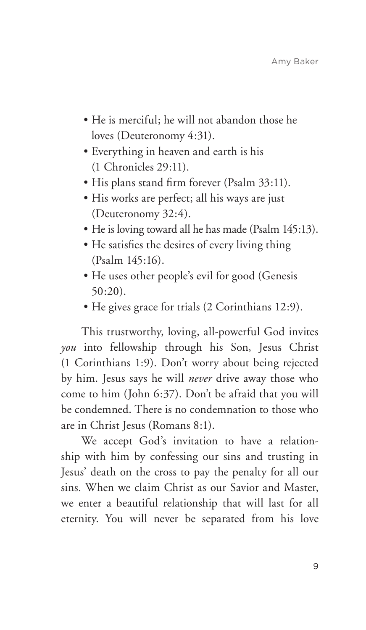- He is merciful; he will not abandon those he loves (Deuteronomy 4:31).
- s Everything in heaven and earth is his (1 Chronicles 29:11).
- His plans stand firm forever (Psalm 33:11).
- His works are perfect; all his ways are just (Deuteronomy 32:4).
- He is loving toward all he has made (Psalm 145:13).
- He satisfies the desires of every living thing (Psalm 145:16).
- He uses other people's evil for good (Genesis 50:20).
- He gives grace for trials (2 Corinthians 12:9).

This trustworthy, loving, all-powerful God invites *you* into fellowship through his Son, Jesus Christ (1 Corinthians 1:9). Don't worry about being rejected by him. Jesus says he will *never* drive away those who come to him (John 6:37). Don't be afraid that you will be condemned. There is no condemnation to those who are in Christ Jesus (Romans 8:1).

We accept God's invitation to have a relationship with him by confessing our sins and trusting in Jesus' death on the cross to pay the penalty for all our sins. When we claim Christ as our Savior and Master, we enter a beautiful relationship that will last for all eternity. You will never be separated from his love